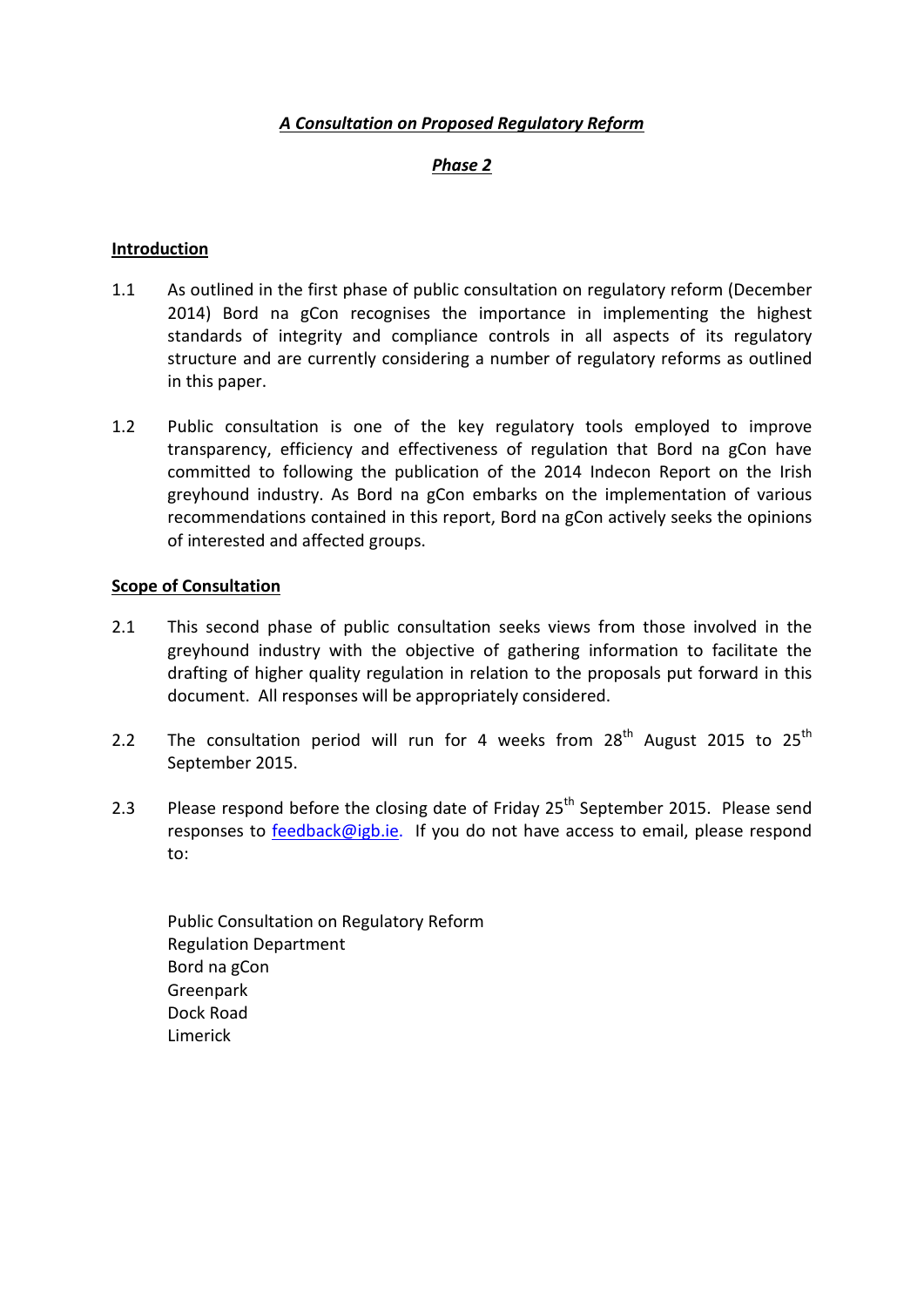### *A Consultation on Proposed Regulatory Reform*

### *Phase 2*

#### **Introduction**

- 1.1 As outlined in the first phase of public consultation on regulatory reform (December 2014) Bord na gCon recognises the importance in implementing the highest standards of integrity and compliance controls in all aspects of its regulatory structure and are currently considering a number of regulatory reforms as outlined in this paper.
- 1.2 Public consultation is one of the key regulatory tools employed to improve transparency, efficiency and effectiveness of regulation that Bord na gCon have committed to following the publication of the 2014 Indecon Report on the Irish greyhound industry. As Bord na gCon embarks on the implementation of various recommendations contained in this report, Bord na gCon actively seeks the opinions of interested and affected groups.

#### **Scope of Consultation**

- 2.1 This second phase of public consultation seeks views from those involved in the greyhound industry with the objective of gathering information to facilitate the drafting of higher quality regulation in relation to the proposals put forward in this document. All responses will be appropriately considered.
- 2.2 The consultation period will run for 4 weeks from  $28<sup>th</sup>$  August 2015 to  $25<sup>th</sup>$ September 2015.
- 2.3 Please respond before the closing date of Friday  $25<sup>th</sup>$  September 2015. Please send responses to [feedback@igb.ie.](mailto:feedback@igb.ie) If you do not have access to email, please respond to:

Public Consultation on Regulatory Reform Regulation Department Bord na gCon Greenpark Dock Road Limerick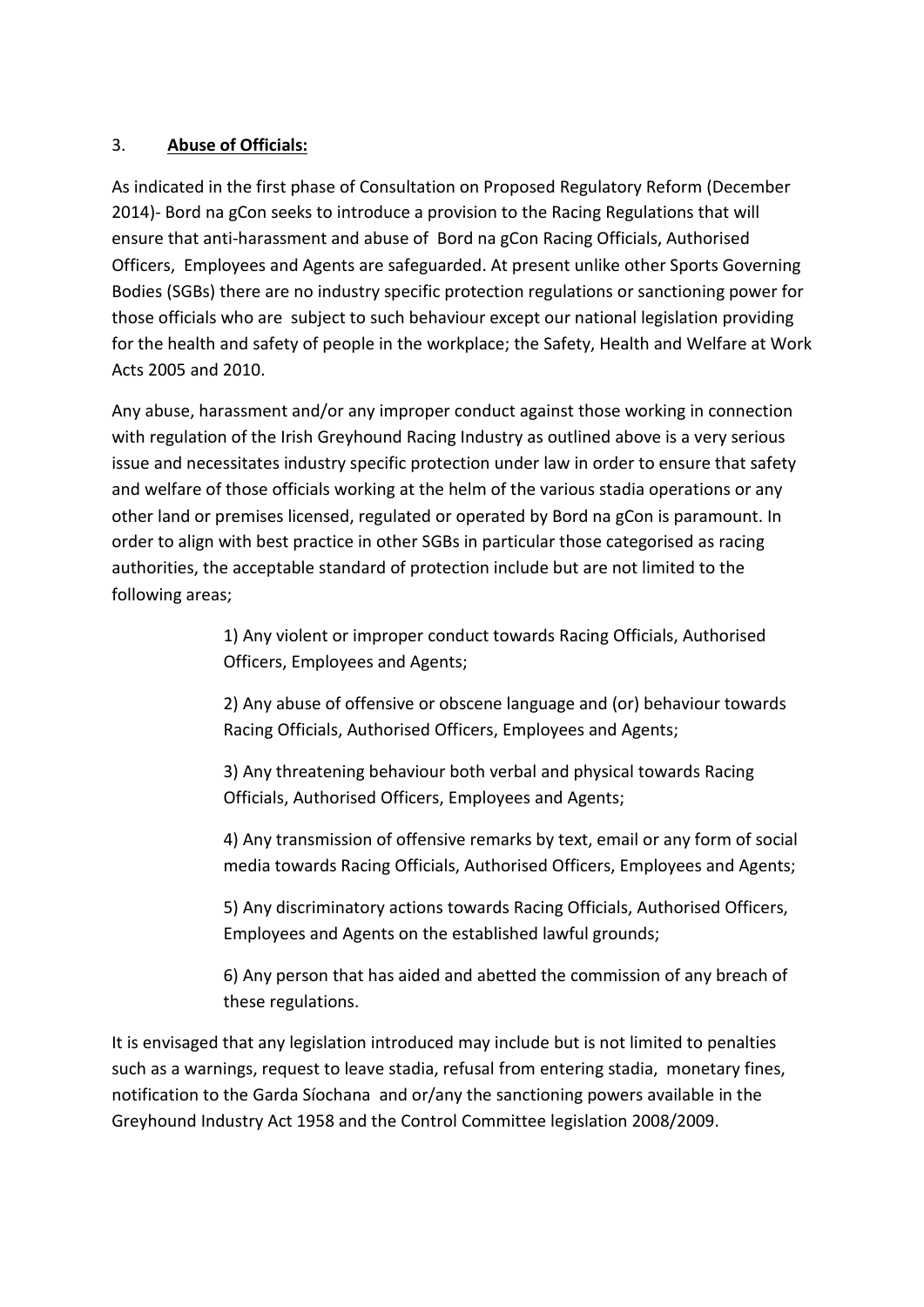# 3. **Abuse of Officials:**

As indicated in the first phase of Consultation on Proposed Regulatory Reform (December 2014)- Bord na gCon seeks to introduce a provision to the Racing Regulations that will ensure that anti-harassment and abuse of Bord na gCon Racing Officials, Authorised Officers, Employees and Agents are safeguarded. At present unlike other Sports Governing Bodies (SGBs) there are no industry specific protection regulations or sanctioning power for those officials who are subject to such behaviour except our national legislation providing for the health and safety of people in the workplace; the [Safety, Health and Welfare at Work](http://www.irishstatutebook.ie/2005/en/act/pub/0010/index.html)  [Acts 2005 and 2010.](http://www.irishstatutebook.ie/2005/en/act/pub/0010/index.html)

Any abuse, harassment and/or any improper conduct against those working in connection with regulation of the Irish Greyhound Racing Industry as outlined above is a very serious issue and necessitates industry specific protection under law in order to ensure that safety and welfare of those officials working at the helm of the various stadia operations or any other land or premises licensed, regulated or operated by Bord na gCon is paramount. In order to align with best practice in other SGBs in particular those categorised as racing authorities, the acceptable standard of protection include but are not limited to the following areas;

> 1) Any violent or improper conduct towards Racing Officials, Authorised Officers, Employees and Agents;

2) Any abuse of offensive or obscene language and (or) behaviour towards Racing Officials, Authorised Officers, Employees and Agents;

3) Any threatening behaviour both verbal and physical towards Racing Officials, Authorised Officers, Employees and Agents;

4) Any transmission of offensive remarks by text, email or any form of social media towards Racing Officials, Authorised Officers, Employees and Agents;

5) Any discriminatory actions towards Racing Officials, Authorised Officers, Employees and Agents on the established lawful grounds;

6) Any person that has aided and abetted the commission of any breach of these regulations.

It is envisaged that any legislation introduced may include but is not limited to penalties such as a warnings, request to leave stadia, refusal from entering stadia, monetary fines, notification to the Garda Síochana and or/any the sanctioning powers available in the Greyhound Industry Act 1958 and the Control Committee legislation 2008/2009.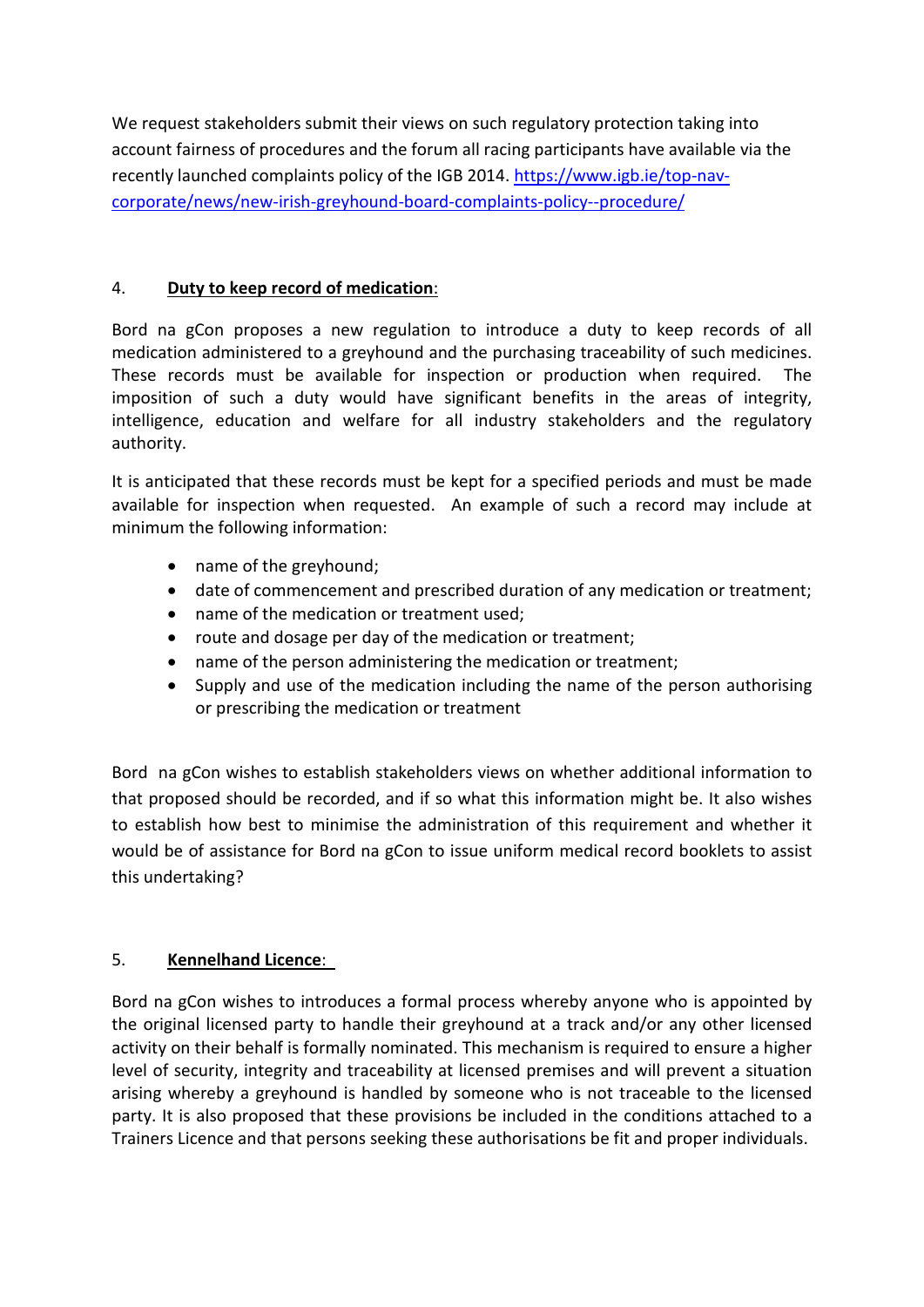We request stakeholders submit their views on such regulatory protection taking into account fairness of procedures and the forum all racing participants have available via the recently launched complaints policy of the IGB 2014. [https://www.igb.ie/top-nav](https://www.igb.ie/top-nav-corporate/news/new-irish-greyhound-board-complaints-policy--procedure/)[corporate/news/new-irish-greyhound-board-complaints-policy--procedure/](https://www.igb.ie/top-nav-corporate/news/new-irish-greyhound-board-complaints-policy--procedure/)

# 4. **Duty to keep record of medication**:

Bord na gCon proposes a new regulation to introduce a duty to keep records of all medication administered to a greyhound and the purchasing traceability of such medicines. These records must be available for inspection or production when required. The imposition of such a duty would have significant benefits in the areas of integrity, intelligence, education and welfare for all industry stakeholders and the regulatory authority.

It is anticipated that these records must be kept for a specified periods and must be made available for inspection when requested. An example of such a record may include at minimum the following information:

- name of the greyhound;
- date of commencement and prescribed duration of any medication or treatment;
- name of the medication or treatment used;
- route and dosage per day of the medication or treatment;
- name of the person administering the medication or treatment;
- Supply and use of the medication including the name of the person authorising or prescribing the medication or treatment

Bord na gCon wishes to establish stakeholders views on whether additional information to that proposed should be recorded, and if so what this information might be. It also wishes to establish how best to minimise the administration of this requirement and whether it would be of assistance for Bord na gCon to issue uniform medical record booklets to assist this undertaking?

# 5. **Kennelhand Licence**:

Bord na gCon wishes to introduces a formal process whereby anyone who is appointed by the original licensed party to handle their greyhound at a track and/or any other licensed activity on their behalf is formally nominated. This mechanism is required to ensure a higher level of security, integrity and traceability at licensed premises and will prevent a situation arising whereby a greyhound is handled by someone who is not traceable to the licensed party. It is also proposed that these provisions be included in the conditions attached to a Trainers Licence and that persons seeking these authorisations be fit and proper individuals.